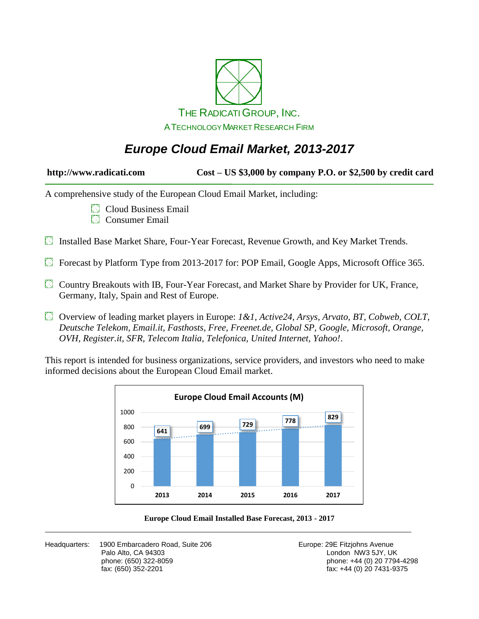

## *Europe Cloud Email Market, 2013-2017*

| http://www.radicati.com | Cost – US \$3,000 by company P.O. or \$2,500 by credit card |
|-------------------------|-------------------------------------------------------------|
|-------------------------|-------------------------------------------------------------|

A comprehensive study of the European Cloud Email Market, including:

- Cloud Business Email
- **Consumer Email**

 $\Box$  Installed Base Market Share, Four-Year Forecast, Revenue Growth, and Key Market Trends.

- Forecast by Platform Type from 2013-2017 for: POP Email, Google Apps, Microsoft Office 365.
- $\boxtimes$  Country Breakouts with IB, Four-Year Forecast, and Market Share by Provider for UK, France, Germany, Italy, Spain and Rest of Europe.
- Overview of leading market players in Europe: *1&1, Active24, Arsys, Arvato, BT, Cobweb, COLT, Deutsche Telekom, Email.it, Fasthosts, Free, Freenet.de, Global SP, Google, Microsoft, Orange, OVH, Register.it, SFR, Telecom Italia, Telefonica, United Internet, Yahoo!*.

This report is intended for business organizations, service providers, and investors who need to make informed decisions about the European Cloud Email market.





Headquarters: 1900 Embarcadero Road, Suite 206 **Europe: 29 Europe: 29E Fitzjohns Avenue** Palo Alto, CA 94303 London NW3 5JY, UK fax: (650) 352-2201 fax: +44 (0) 20 7431-9375

phone: (650) 322-8059 phone: +44 (0) 20 7794-4298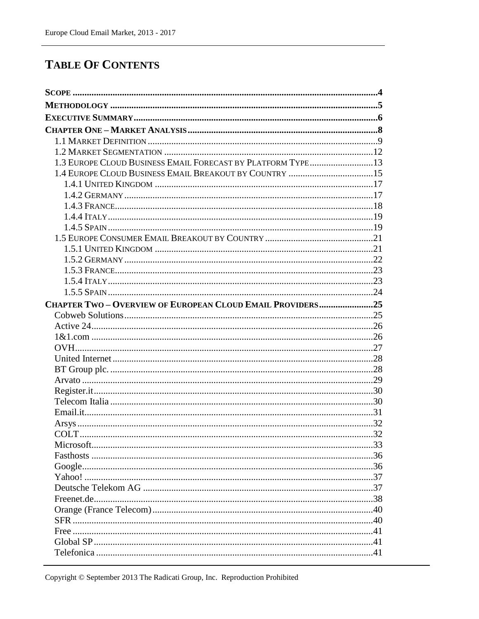## **TABLE OF CONTENTS**

| 1.3 EUROPE CLOUD BUSINESS EMAIL FORECAST BY PLATFORM TYPE13 |     |
|-------------------------------------------------------------|-----|
| 1.4 EUROPE CLOUD BUSINESS EMAIL BREAKOUT BY COUNTRY 15      |     |
|                                                             |     |
|                                                             |     |
|                                                             |     |
|                                                             |     |
|                                                             |     |
|                                                             |     |
|                                                             |     |
|                                                             |     |
|                                                             |     |
|                                                             |     |
|                                                             |     |
| CHAPTER TWO-OVERVIEW OF EUROPEAN CLOUD EMAIL PROVIDERS25    |     |
|                                                             |     |
|                                                             |     |
|                                                             |     |
|                                                             |     |
|                                                             |     |
|                                                             |     |
|                                                             |     |
|                                                             |     |
|                                                             |     |
|                                                             |     |
|                                                             |     |
|                                                             |     |
|                                                             | .33 |
|                                                             |     |
|                                                             |     |
|                                                             |     |
|                                                             |     |
|                                                             |     |
|                                                             |     |
|                                                             |     |
|                                                             |     |
|                                                             |     |
|                                                             |     |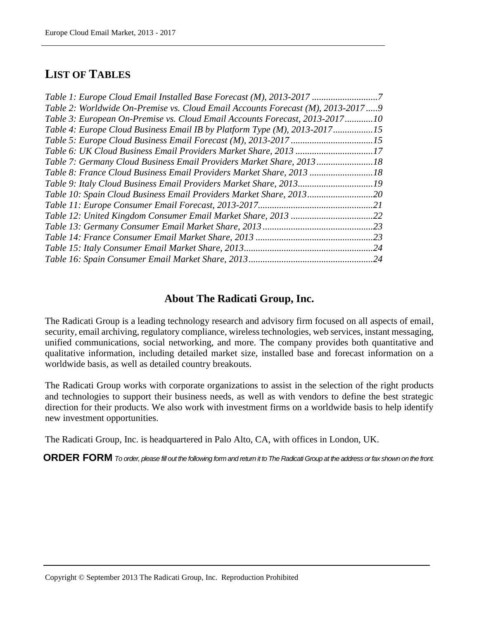## **LIST OF TABLES**

| Table 2: Worldwide On-Premise vs. Cloud Email Accounts Forecast (M), 2013-20179 |  |
|---------------------------------------------------------------------------------|--|
| Table 3: European On-Premise vs. Cloud Email Accounts Forecast, 2013-201710     |  |
| Table 4: Europe Cloud Business Email IB by Platform Type (M), 2013-201715       |  |
|                                                                                 |  |
| Table 6: UK Cloud Business Email Providers Market Share, 2013 17                |  |
| Table 7: Germany Cloud Business Email Providers Market Share, 201318            |  |
| Table 8: France Cloud Business Email Providers Market Share, 2013 18            |  |
| Table 9: Italy Cloud Business Email Providers Market Share, 201319              |  |
| Table 10: Spain Cloud Business Email Providers Market Share, 201320             |  |
|                                                                                 |  |
|                                                                                 |  |
|                                                                                 |  |
|                                                                                 |  |
|                                                                                 |  |
|                                                                                 |  |

## **About The Radicati Group, Inc.**

The Radicati Group is a leading technology research and advisory firm focused on all aspects of email, security, email archiving, regulatory compliance, wireless technologies, web services, instant messaging, unified communications, social networking, and more. The company provides both quantitative and qualitative information, including detailed market size, installed base and forecast information on a worldwide basis, as well as detailed country breakouts.

The Radicati Group works with corporate organizations to assist in the selection of the right products and technologies to support their business needs, as well as with vendors to define the best strategic direction for their products. We also work with investment firms on a worldwide basis to help identify new investment opportunities.

The Radicati Group, Inc. is headquartered in Palo Alto, CA, with offices in London, UK.

**ORDER FORM** *To order, please fill out the following form and return it to The Radicati Group at the address or fax shown on the front.*